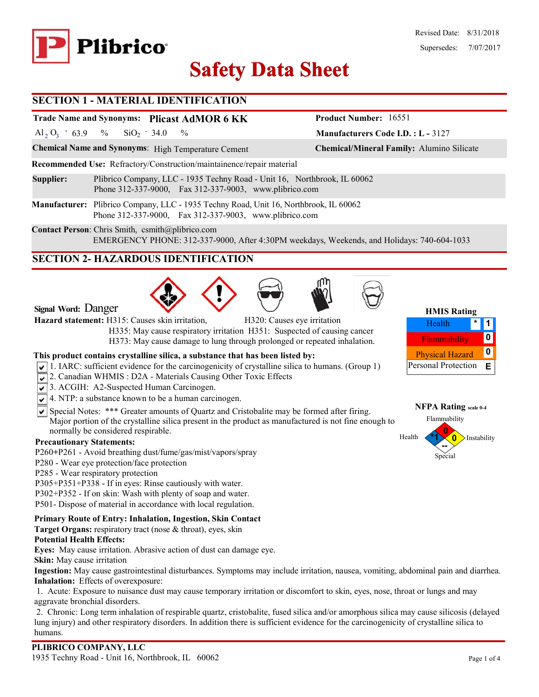

# **Safety Data Sheet Safety Data**

### **SECTION 1 - MATERIAL IDENTIFICATION**

# **Trade Name and Synonyms: Plicast AdMOR 6 KK**

Al<sub>2</sub> O<sub>3</sub>  $-63.9$  % SiO<sub>2</sub>  $-34.0$  %  $SiO<sub>2</sub> - 34.0$ 

**Product Number:** 16551

**Manufacturers Code I.D. : L -** 3127

**Chemical Name and Synonyms**: High Temperature Cement **Chemical/Mineral Family:** Alumino Silicate

**Recommended Use:** Refractory/Construction/maintainence/repair material

**Supplier:** Plibrico Company, LLC - 1935 Techny Road - Unit 16, Northbrook, IL 60062 Phone 312-337-9000, Fax 312-337-9003, www.plibrico.com

**Manufacturer:** Plibrico Company, LLC - 1935 Techny Road, Unit 16, Northbrook, IL 60062 Phone 312-337-9000, Fax 312-337-9003, www.plibrico.com

**Contact Person**: Chris Smith, csmith@plibrico.com EMERGENCY PHONE: 312-337-9000, After 4:30PM weekdays, Weekends, and Holidays: 740-604-1033

### **SECTION 2- HAZARDOUS IDENTIFICATION**







| <b>HMIS Rating</b>     |  |   |
|------------------------|--|---|
| Health                 |  |   |
| Flammability           |  | N |
| <b>Physical Hazard</b> |  | Ω |
| Personal Protection    |  | Ε |

# **Signal Word:** Danger

**Hazard statement:** H315: Causes skin irritation, H320: Causes eye irritation

 H335: May cause respiratory irritation H351: Suspected of causing cancer H373: May cause damage to lung through prolonged or repeated inhalation.

### **This product contains crystalline silica, a substance that has been listed by:**

- $\sqrt{1}$ . IARC: sufficient evidence for the carcinogenicity of crystalline silica to humans. (Group 1)
- 2. Canadian WHMIS: D2A Materials Causing Other Toxic Effects
- 3. ACGIH: A2-Suspected Human Carcinogen.
- $\sqrt{\sqrt{4}}$ . NTP: a substance known to be a human carcinogen.
- $\overline{\mathsf{S}}$  Special Notes: \*\*\* Greater amounts of Quartz and Cristobalite may be formed after firing. Major portion of the crystalline silica present in the product as manufactured is not fine enough to normally be considered respirable.

### **Precautionary Statements:**

- P260**+**P261 Avoid breathing dust/fume/gas/mist/vapors/spray
- P280 Wear eye protection/face protection
- P285 Wear respiratory protection
- P305+P351+P338 If in eyes: Rinse cautiously with water.
- P302+P352 If on skin: Wash with plenty of soap and water.
- P501- Dispose of material in accordance with local regulation.

### **Primary Route of Entry: Inhalation, Ingestion, Skin Contact**

**Target Organs:** respiratory tract (nose & throat), eyes, skin

### **Potential Health Effects:**

**Eyes:** May cause irritation. Abrasive action of dust can damage eye.

**Skin:** May cause irritation

**Ingestion:** May cause gastrointestinal disturbances. Symptoms may include irritation, nausea, vomiting, abdominal pain and diarrhea. **Inhalation:** Effects of overexposure:

1. Acute: Exposure to nuisance dust may cause temporary irritation or discomfort to skin, eyes, nose, throat or lungs and may aggravate bronchial disorders.

2. Chronic: Long term inhalation of respirable quartz, cristobalite, fused silica and/or amorphous silica may cause silicosis (delayed lung injury) and other respiratory disorders. In addition there is sufficient evidence for the carcinogenicity of crystalline silica to humans.

# Personal Protection **E**



Special **--**

Instability

 $Health$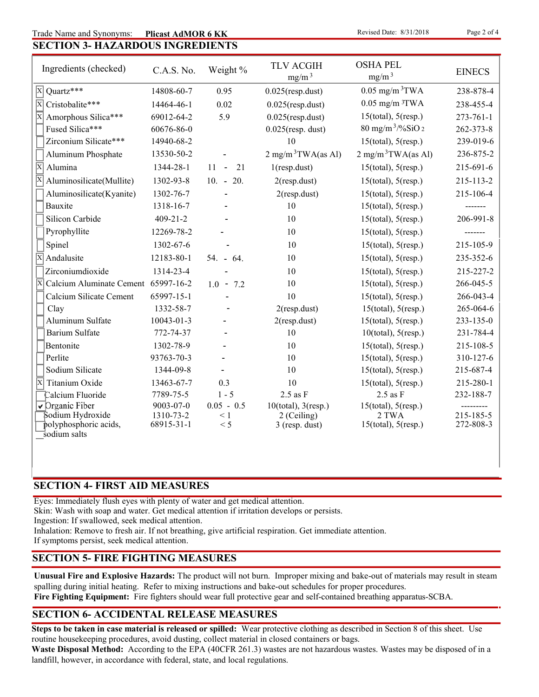### **SECTION 3- HAZARDOUS INGREDIENTS** Trade Name and Synonyms: **Plicast AdMOR 6 KK** Revised Date: 8/31/2018 Page 2 of 4 **Plicast AdMOR 6 KK**

Ingredients (checked)  $C.A.S. No.$  Weight % TLV ACGIH  $mg/m<sup>3</sup>$ Weight % TLV ACGIH OSHA PEL<br>mg/m<sup>3</sup> mg/m<sup>3</sup> EINECS  $\overline{X}$  Quartz\*\*\* 14808-60-7 0.95 0.025(resp.dust) 0.05 mg/m<sup>3</sup>TWA 238-878-4  $\overline{X}$  Cristobalite\*\*\* 14464-46-1 0.02 0.025(resp.dust) 0.05 mg/m <sup>3</sup>TWA 238-455-4  $\overline{X}$  Amorphous Silica\*\*\* 69012-64-2 5.9 0.025(resp.dust) 15(total), 5(resp.) 273-761-1 Fused Silica\*\*\*  $60676-86-0$   $0.025$   $(resp.$  dust)  $80$  mg/m<sup>3</sup>/%SiO 2  $262-373-8$ Zirconium Silicate\*\*\* 14940-68-2 10 15(total), 5(resp.) 239-019-6 Aluminum Phosphate  $13530-50-2$  -  $2 \text{ mg/m}^3 \text{TWA}\text{(as Al)}$   $2 \text{ mg/m}^3 \text{TWA}\text{(as Al)}$   $236-875-2$  $\overline{X}$  Alumina 1344-28-1 11 - 21 1(resp.dust) 15(total), 5(resp.) 215-691-6  $\overline{X}$  Aluminosilicate(Mullite) 1302-93-8 10. - 20. 2(resp.dust) 15(total), 5(resp.) 215-113-2 Aluminosilicate(Kyanite) 1302-76-7 - 2(resp.dust) 15(total), 5(resp.) 215-106-4 Bauxite 1318-16-7 - 10 15(total), 5(resp.) -------Silicon Carbide 409-21-2 - 10 15(total), 5(resp.) 206-991-8 Pyrophyllite 12269-78-2 - 10 15(total), 5(resp.) -------Spinel 1302-67-6 - 10 15(total), 5(resp.) 215-105-9  $X$  Andalusite 12183-80-1 54. - 64. 10 15(total), 5(resp.) 235-352-6 Zirconiumdioxide 1314-23-4 - 10 15(total), 5(resp.) 215-227-2 X Calcium Aluminate Cement 65997-16-2 1.0 - 7.2 10 15(total), 5(resp.) 266-045-5 Calcium Silicate Cement 65997-15-1 - 10 15(total), 5(resp.) 266-043-4 Clay 1332-58-7 - 2(resp.dust) 15(total), 5(resp.) 265-064-6 Aluminum Sulfate 10043-01-3 - 2(resp.dust) 15(total), 5(resp.) 233-135-0 Barium Sulfate 772-74-37 - 10 10(total), 5(resp.) 231-784-4 Bentonite 1302-78-9 - 10 15(total), 5(resp.) 215-108-5 Perlite 93763-70-3 - 10 15(total), 5(resp.) 310-127-6 Sodium Silicate 1344-09-8 - 10 15(total), 5(resp.) 215-687-4  $\overline{X}$  Titanium Oxide 13463-67-7 0.3 10 15(total), 5(resp.) 215-280-1 Calcium Fluoride 7789-75-5 1 - 5 2.5 as F 2.5 as F 232-188-7  $\sqrt{}$ Organic Fiber 9003-07-0 0.05 - 0.5 10(total), 3(resp.) 15(total), 5(resp.) ----------------Sodium Hydroxide 1310-73-2 < 1 2 (Ceiling) 2 TWA 215-185-5 polyphosphoric acids,  $68915-31-1$   $< 5$   $3$  (resp. dust)  $15$ (total),  $5$ (resp.) 272-808-3 sodium salts

### **SECTION 4- FIRST AID MEASURES**

Eyes: Immediately flush eyes with plenty of water and get medical attention.

Skin: Wash with soap and water. Get medical attention if irritation develops or persists.

Ingestion: If swallowed, seek medical attention.

Inhalation: Remove to fresh air. If not breathing, give artificial respiration. Get immediate attention.

If symptoms persist, seek medical attention.

### **SECTION 5- FIRE FIGHTING MEASURES**

**Unusual Fire and Explosive Hazards:** The product will not burn. Improper mixing and bake-out of materials may result in steam spalling during initial heating. Refer to mixing instructions and bake-out schedules for proper procedures.

**Fire Fighting Equipment:** Fire fighters should wear full protective gear and self-contained breathing apparatus-SCBA.

### **SECTION 6- ACCIDENTAL RELEASE MEASURES**

**Steps to be taken in case material is released or spilled:** Wear protective clothing as described in Section 8 of this sheet. Use routine housekeeping procedures, avoid dusting, collect material in closed containers or bags.

**Waste Disposal Method:** According to the EPA (40CFR 261.3) wastes are not hazardous wastes. Wastes may be disposed of in a landfill, however, in accordance with federal, state, and local regulations.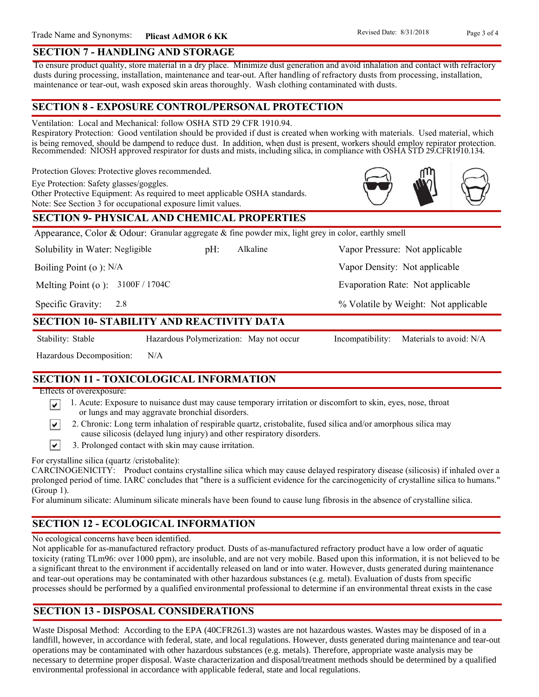### **SECTION 7 - HANDLING AND STORAGE**

To ensure product quality, store material in a dry place. Minimize dust generation and avoid inhalation and contact with refractory dusts during processing, installation, maintenance and tear-out. After handling of refractory dusts from processing, installation, maintenance or tear-out, wash exposed skin areas thoroughly. Wash clothing contaminated with dusts.

### **SECTION 8 - EXPOSURE CONTROL/PERSONAL PROTECTION**

Ventilation: Local and Mechanical: follow OSHA STD 29 CFR 1910.94.

Respiratory Protection: Good ventilation should be provided if dust is created when working with materials. Used material, which is being removed, should be dampend to reduce dust. In addition, when dust is present, workers should employ repirator protection. Recommended: NIOSH approved respirator for dusts and mists, including silica, in compliance with OSHA STD 29.CFR1910.134.

Protection Gloves: Protective gloves recommended.

Eye Protection: Safety glasses/goggles.

Other Protective Equipment: As required to meet applicable OSHA standards. Note: See Section 3 for occupational exposure limit values.

### **SECTION 9- PHYSICAL AND CHEMICAL PROPERTIES**

Appearance, Color & Odour: Granular aggregate & fine powder mix, light grey in color, earthly smell

Solubility in Water: Negligible

pH: Alkaline Vapor Pressure: Not applicable Alkaline

Boiling Point (o ): N/A

Melting Point (o ): 3100F / 1704C

2.8 Specific Gravity:

### **SECTION 10- STABILITY AND REACTIVITY DATA**

∣V∣

Stability: Stable Hazardous Polymerization: May not occur Incompatibility: Materials to avoid: N/A

% Volatile by Weight: Not applicable

Vapor Density: Not applicable

Evaporation Rate: Not applicable

Hazardous Decomposition: N/A

### **SECTION 11 - TOXICOLOGICAL INFORMATION**

Effects of overexposure:

- 1. Acute: Exposure to nuisance dust may cause temporary irritation or discomfort to skin, eyes, nose, throat ∣V∣ or lungs and may aggravate bronchial disorders.
	- 2. Chronic: Long term inhalation of respirable quartz, cristobalite, fused silica and/or amorphous silica may cause silicosis (delayed lung injury) and other respiratory disorders.
- $\vert\mathbf{v}\vert$ 3. Prolonged contact with skin may cause irritation.

For crystalline silica (quartz /cristobalite):

CARCINOGENICITY: Product contains crystalline silica which may cause delayed respiratory disease (silicosis) if inhaled over a prolonged period of time. IARC concludes that "there is a sufficient evidence for the carcinogenicity of crystalline silica to humans." (Group 1).

For aluminum silicate: Aluminum silicate minerals have been found to cause lung fibrosis in the absence of crystalline silica.

### **SECTION 12 - ECOLOGICAL INFORMATION**

No ecological concerns have been identified.

Not applicable for as-manufactured refractory product. Dusts of as-manufactured refractory product have a low order of aquatic toxicity (rating TLm96: over 1000 ppm), are insoluble, and are not very mobile. Based upon this information, it is not believed to be a significant threat to the environment if accidentally released on land or into water. However, dusts generated during maintenance and tear-out operations may be contaminated with other hazardous substances (e.g. metal). Evaluation of dusts from specific processes should be performed by a qualified environmental professional to determine if an environmental threat exists in the case

### **SECTION 13 - DISPOSAL CONSIDERATIONS**

Waste Disposal Method: According to the EPA (40CFR261.3) wastes are not hazardous wastes. Wastes may be disposed of in a landfill, however, in accordance with federal, state, and local regulations. However, dusts generated during maintenance and tear-out operations may be contaminated with other hazardous substances (e.g. metals). Therefore, appropriate waste analysis may be necessary to determine proper disposal. Waste characterization and disposal/treatment methods should be determined by a qualified environmental professional in accordance with applicable federal, state and local regulations.